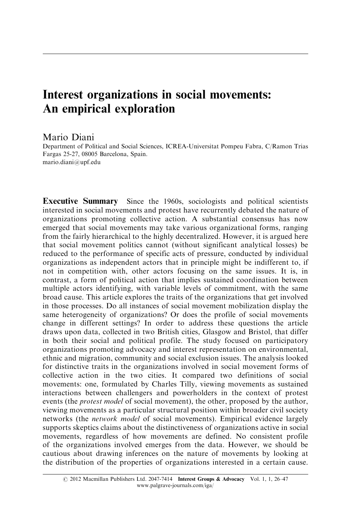# Interest organizations in social movements: An empirical exploration

## Mario Diani

Department of Political and Social Sciences, ICREA-Universitat Pompeu Fabra, C/Ramon Trias Fargas 25-27, 08005 Barcelona, Spain. mario.diani@upf.edu

Executive Summary Since the 1960s, sociologists and political scientists interested in social movements and protest have recurrently debated the nature of organizations promoting collective action. A substantial consensus has now emerged that social movements may take various organizational forms, ranging from the fairly hierarchical to the highly decentralized. However, it is argued here that social movement politics cannot (without significant analytical losses) be reduced to the performance of specific acts of pressure, conducted by individual organizations as independent actors that in principle might be indifferent to, if not in competition with, other actors focusing on the same issues. It is, in contrast, a form of political action that implies sustained coordination between multiple actors identifying, with variable levels of commitment, with the same broad cause. This article explores the traits of the organizations that get involved in those processes. Do all instances of social movement mobilization display the same heterogeneity of organizations? Or does the profile of social movements change in different settings? In order to address these questions the article draws upon data, collected in two British cities, Glasgow and Bristol, that differ in both their social and political profile. The study focused on participatory organizations promoting advocacy and interest representation on environmental, ethnic and migration, community and social exclusion issues. The analysis looked for distinctive traits in the organizations involved in social movement forms of collective action in the two cities. It compared two definitions of social movements: one, formulated by Charles Tilly, viewing movements as sustained interactions between challengers and powerholders in the context of protest events (the *protest model* of social movement), the other, proposed by the author, viewing movements as a particular structural position within broader civil society networks (the network model of social movements). Empirical evidence largely supports skeptics claims about the distinctiveness of organizations active in social movements, regardless of how movements are defined. No consistent profile of the organizations involved emerges from the data. However, we should be cautious about drawing inferences on the nature of movements by looking at the distribution of the properties of organizations interested in a certain cause.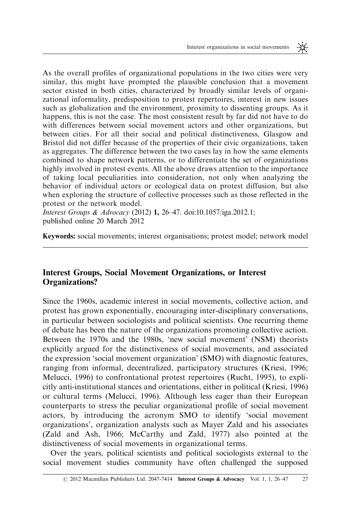As the overall profiles of organizational populations in the two cities were very similar, this might have prompted the plausible conclusion that a movement sector existed in both cities, characterized by broadly similar levels of organizational informality, predisposition to protest repertoires, interest in new issues such as globalization and the environment, proximity to dissenting groups. As it happens, this is not the case. The most consistent result by far did not have to do with differences between social movement actors and other organizations, but between cities. For all their social and political distinctiveness, Glasgow and Bristol did not differ because of the properties of their civic organizations, taken as aggregates. The difference between the two cases lay in how the same elements combined to shape network patterns, or to differentiate the set of organizations highly involved in protest events. All the above draws attention to the importance of taking local peculiarities into consideration, not only when analyzing the behavior of individual actors or ecological data on protest diffusion, but also when exploring the structure of collective processes such as those reflected in the protest or the network model.

Interest Groups & Advocacy (2012) 1, 26–47. doi:10.1057/iga.2012.1; published online 20 March 2012

Keywords: social movements; interest organisations; protest model; network model

## Interest Groups, Social Movement Organizations, or Interest Organizations?

Since the 1960s, academic interest in social movements, collective action, and protest has grown exponentially, encouraging inter-disciplinary conversations, in particular between sociologists and political scientists. One recurring theme of debate has been the nature of the organizations promoting collective action. Between the 1970s and the 1980s, 'new social movement' (NSM) theorists explicitly argued for the distinctiveness of social movements, and associated the expression 'social movement organization' (SMO) with diagnostic features, ranging from informal, decentralized, participatory structures (Kriesi, 1996; Melucci, 1996) to confrontational protest repertoires (Rucht, 1995), to explicitly anti-institutional stances and orientations, either in political (Kriesi, 1996) or cultural terms (Melucci, 1996). Although less eager than their European counterparts to stress the peculiar organizational profile of social movement actors, by introducing the acronym SMO to identify 'social movement organizations', organization analysts such as Mayer Zald and his associates (Zald and Ash, 1966; McCarthy and Zald, 1977) also pointed at the distinctiveness of social movements in organizational terms.

Over the years, political scientists and political sociologists external to the social movement studies community have often challenged the supposed

米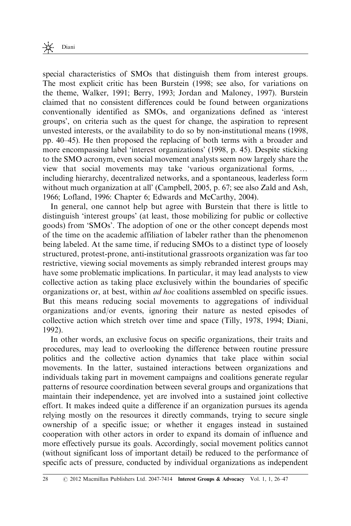special characteristics of SMOs that distinguish them from interest groups. The most explicit critic has been Burstein (1998; see also, for variations on the theme, Walker, 1991; Berry, 1993; Jordan and Maloney, 1997). Burstein claimed that no consistent differences could be found between organizations conventionally identified as SMOs, and organizations defined as 'interest groups', on criteria such as the quest for change, the aspiration to represent unvested interests, or the availability to do so by non-institutional means (1998, pp. 40–45). He then proposed the replacing of both terms with a broader and more encompassing label 'interest organizations' (1998, p. 45). Despite sticking to the SMO acronym, even social movement analysts seem now largely share the view that social movements may take 'various organizational forms, ... including hierarchy, decentralized networks, and a spontaneous, leaderless form without much organization at all' (Campbell, 2005, p. 67; see also Zald and Ash, 1966; Lofland, 1996: Chapter 6; Edwards and McCarthy, 2004).

In general, one cannot help but agree with Burstein that there is little to distinguish 'interest groups' (at least, those mobilizing for public or collective goods) from 'SMOs'. The adoption of one or the other concept depends most of the time on the academic affiliation of labeler rather than the phenomenon being labeled. At the same time, if reducing SMOs to a distinct type of loosely structured, protest-prone, anti-institutional grassroots organization was far too restrictive, viewing social movements as simply rebranded interest groups may have some problematic implications. In particular, it may lead analysts to view collective action as taking place exclusively within the boundaries of specific organizations or, at best, within *ad hoc* coalitions assembled on specific issues. But this means reducing social movements to aggregations of individual organizations and/or events, ignoring their nature as nested episodes of collective action which stretch over time and space (Tilly, 1978, 1994; Diani, 1992).

In other words, an exclusive focus on specific organizations, their traits and procedures, may lead to overlooking the difference between routine pressure politics and the collective action dynamics that take place within social movements. In the latter, sustained interactions between organizations and individuals taking part in movement campaigns and coalitions generate regular patterns of resource coordination between several groups and organizations that maintain their independence, yet are involved into a sustained joint collective effort. It makes indeed quite a difference if an organization pursues its agenda relying mostly on the resources it directly commands, trying to secure single ownership of a specific issue; or whether it engages instead in sustained cooperation with other actors in order to expand its domain of influence and more effectively pursue its goals. Accordingly, social movement politics cannot (without significant loss of important detail) be reduced to the performance of specific acts of pressure, conducted by individual organizations as independent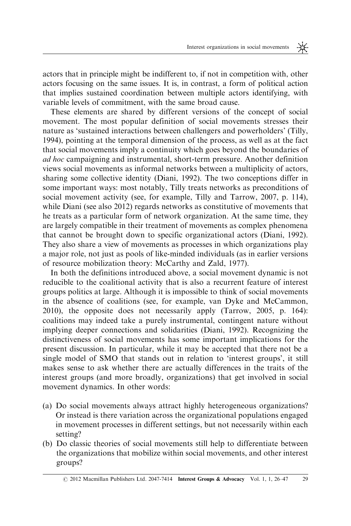actors that in principle might be indifferent to, if not in competition with, other actors focusing on the same issues. It is, in contrast, a form of political action that implies sustained coordination between multiple actors identifying, with variable levels of commitment, with the same broad cause.

These elements are shared by different versions of the concept of social movement. The most popular definition of social movements stresses their nature as 'sustained interactions between challengers and powerholders' (Tilly, 1994), pointing at the temporal dimension of the process, as well as at the fact that social movements imply a continuity which goes beyond the boundaries of ad hoc campaigning and instrumental, short-term pressure. Another definition views social movements as informal networks between a multiplicity of actors, sharing some collective identity (Diani, 1992). The two conceptions differ in some important ways: most notably, Tilly treats networks as preconditions of social movement activity (see, for example, Tilly and Tarrow, 2007, p. 114), while Diani (see also 2012) regards networks as constitutive of movements that he treats as a particular form of network organization. At the same time, they are largely compatible in their treatment of movements as complex phenomena that cannot be brought down to specific organizational actors (Diani, 1992). They also share a view of movements as processes in which organizations play a major role, not just as pools of like-minded individuals (as in earlier versions of resource mobilization theory: McCarthy and Zald, 1977).

In both the definitions introduced above, a social movement dynamic is not reducible to the coalitional activity that is also a recurrent feature of interest groups politics at large. Although it is impossible to think of social movements in the absence of coalitions (see, for example, van Dyke and McCammon, 2010), the opposite does not necessarily apply (Tarrow, 2005, p. 164): coalitions may indeed take a purely instrumental, contingent nature without implying deeper connections and solidarities (Diani, 1992). Recognizing the distinctiveness of social movements has some important implications for the present discussion. In particular, while it may be accepted that there not be a single model of SMO that stands out in relation to 'interest groups', it still makes sense to ask whether there are actually differences in the traits of the interest groups (and more broadly, organizations) that get involved in social movement dynamics. In other words:

- (a) Do social movements always attract highly heterogeneous organizations? Or instead is there variation across the organizational populations engaged in movement processes in different settings, but not necessarily within each setting?
- (b) Do classic theories of social movements still help to differentiate between the organizations that mobilize within social movements, and other interest groups?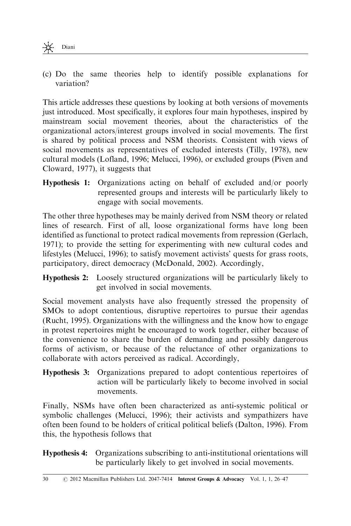(c) Do the same theories help to identify possible explanations for variation?

This article addresses these questions by looking at both versions of movements just introduced. Most specifically, it explores four main hypotheses, inspired by mainstream social movement theories, about the characteristics of the organizational actors/interest groups involved in social movements. The first is shared by political process and NSM theorists. Consistent with views of social movements as representatives of excluded interests (Tilly, 1978), new cultural models (Lofland, 1996; Melucci, 1996), or excluded groups (Piven and Cloward, 1977), it suggests that

Hypothesis 1: Organizations acting on behalf of excluded and/or poorly represented groups and interests will be particularly likely to engage with social movements.

The other three hypotheses may be mainly derived from NSM theory or related lines of research. First of all, loose organizational forms have long been identified as functional to protect radical movements from repression (Gerlach, 1971); to provide the setting for experimenting with new cultural codes and lifestyles (Melucci, 1996); to satisfy movement activists' quests for grass roots, participatory, direct democracy (McDonald, 2002). Accordingly,

Hypothesis 2: Loosely structured organizations will be particularly likely to get involved in social movements.

Social movement analysts have also frequently stressed the propensity of SMOs to adopt contentious, disruptive repertoires to pursue their agendas (Rucht, 1995). Organizations with the willingness and the know how to engage in protest repertoires might be encouraged to work together, either because of the convenience to share the burden of demanding and possibly dangerous forms of activism, or because of the reluctance of other organizations to collaborate with actors perceived as radical. Accordingly,

Hypothesis 3: Organizations prepared to adopt contentious repertoires of action will be particularly likely to become involved in social movements.

Finally, NSMs have often been characterized as anti-systemic political or symbolic challenges (Melucci, 1996); their activists and sympathizers have often been found to be holders of critical political beliefs (Dalton, 1996). From this, the hypothesis follows that

Hypothesis 4: Organizations subscribing to anti-institutional orientations will be particularly likely to get involved in social movements.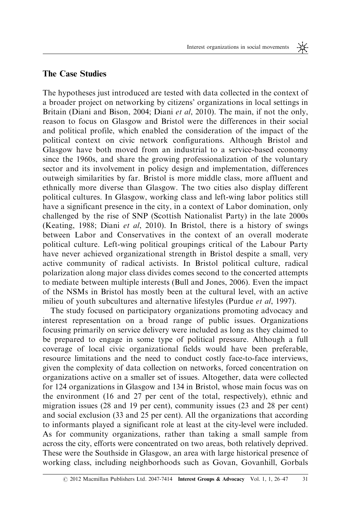Interest organizations in social movements

## The Case Studies

The hypotheses just introduced are tested with data collected in the context of a broader project on networking by citizens' organizations in local settings in Britain (Diani and Bison, 2004; Diani *et al.* 2010). The main, if not the only, reason to focus on Glasgow and Bristol were the differences in their social and political profile, which enabled the consideration of the impact of the political context on civic network configurations. Although Bristol and Glasgow have both moved from an industrial to a service-based economy since the 1960s, and share the growing professionalization of the voluntary sector and its involvement in policy design and implementation, differences outweigh similarities by far. Bristol is more middle class, more affluent and ethnically more diverse than Glasgow. The two cities also display different political cultures. In Glasgow, working class and left-wing labor politics still have a significant presence in the city, in a context of Labor domination, only challenged by the rise of SNP (Scottish Nationalist Party) in the late 2000s (Keating, 1988; Diani et al, 2010). In Bristol, there is a history of swings between Labor and Conservatives in the context of an overall moderate political culture. Left-wing political groupings critical of the Labour Party have never achieved organizational strength in Bristol despite a small, very active community of radical activists. In Bristol political culture, radical polarization along major class divides comes second to the concerted attempts to mediate between multiple interests (Bull and Jones, 2006). Even the impact of the NSMs in Bristol has mostly been at the cultural level, with an active milieu of youth subcultures and alternative lifestyles (Purdue et al, 1997).

The study focused on participatory organizations promoting advocacy and interest representation on a broad range of public issues. Organizations focusing primarily on service delivery were included as long as they claimed to be prepared to engage in some type of political pressure. Although a full coverage of local civic organizational fields would have been preferable, resource limitations and the need to conduct costly face-to-face interviews, given the complexity of data collection on networks, forced concentration on organizations active on a smaller set of issues. Altogether, data were collected for 124 organizations in Glasgow and 134 in Bristol, whose main focus was on the environment (16 and 27 per cent of the total, respectively), ethnic and migration issues (28 and 19 per cent), community issues (23 and 28 per cent) and social exclusion (33 and 25 per cent). All the organizations that according to informants played a significant role at least at the city-level were included. As for community organizations, rather than taking a small sample from across the city, efforts were concentrated on two areas, both relatively deprived. These were the Southside in Glasgow, an area with large historical presence of working class, including neighborhoods such as Govan, Govanhill, Gorbals

米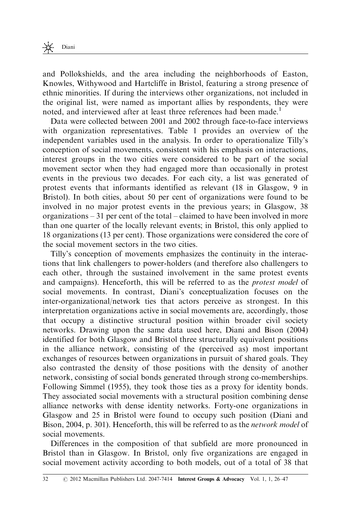and Pollokshields, and the area including the neighborhoods of Easton, Knowles, Withywood and Hartcliffe in Bristol, featuring a strong presence of ethnic minorities. If during the interviews other organizations, not included in the original list, were named as important allies by respondents, they were noted, and interviewed after at least three references had been made.<sup>1</sup>

Data were collected between 2001 and 2002 through face-to-face interviews with organization representatives. Table 1 provides an overview of the independent variables used in the analysis. In order to operationalize Tilly's conception of social movements, consistent with his emphasis on interactions, interest groups in the two cities were considered to be part of the social movement sector when they had engaged more than occasionally in protest events in the previous two decades. For each city, a list was generated of protest events that informants identified as relevant (18 in Glasgow, 9 in Bristol). In both cities, about 50 per cent of organizations were found to be involved in no major protest events in the previous years; in Glasgow, 38 organizations – 31 per cent of the total – claimed to have been involved in more than one quarter of the locally relevant events; in Bristol, this only applied to 18 organizations (13 per cent). Those organizations were considered the core of the social movement sectors in the two cities.

Tilly's conception of movements emphasizes the continuity in the interactions that link challengers to power-holders (and therefore also challengers to each other, through the sustained involvement in the same protest events and campaigns). Henceforth, this will be referred to as the protest model of social movements. In contrast, Diani's conceptualization focuses on the inter-organizational/network ties that actors perceive as strongest. In this interpretation organizations active in social movements are, accordingly, those that occupy a distinctive structural position within broader civil society networks. Drawing upon the same data used here, Diani and Bison (2004) identified for both Glasgow and Bristol three structurally equivalent positions in the alliance network, consisting of the (perceived as) most important exchanges of resources between organizations in pursuit of shared goals. They also contrasted the density of those positions with the density of another network, consisting of social bonds generated through strong co-memberships. Following Simmel (1955), they took those ties as a proxy for identity bonds. They associated social movements with a structural position combining dense alliance networks with dense identity networks. Forty-one organizations in Glasgow and 25 in Bristol were found to occupy such position (Diani and Bison, 2004, p. 301). Henceforth, this will be referred to as the network model of social movements.

Differences in the composition of that subfield are more pronounced in Bristol than in Glasgow. In Bristol, only five organizations are engaged in social movement activity according to both models, out of a total of 38 that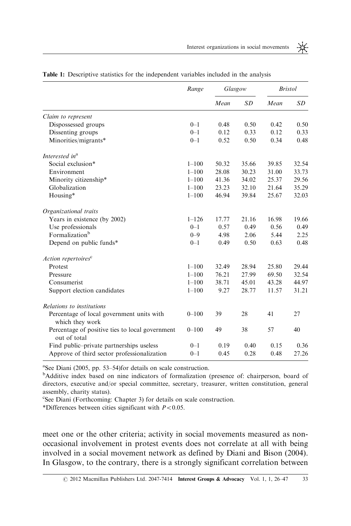

|                                                                 | Range     |       | Glasgow   |       | <b>Bristol</b> |
|-----------------------------------------------------------------|-----------|-------|-----------|-------|----------------|
|                                                                 |           | Mean  | <b>SD</b> | Mean  | SD             |
| Claim to represent                                              |           |       |           |       |                |
| Dispossessed groups                                             | $0 - 1$   | 0.48  | 0.50      | 0.42  | 0.50           |
| Dissenting groups                                               | $0 - 1$   | 0.12  | 0.33      | 0.12  | 0.33           |
| Minorities/migrants*                                            | $0 - 1$   | 0.52  | 0.50      | 0.34  | 0.48           |
| Interested in <sup>a</sup>                                      |           |       |           |       |                |
| Social exclusion*                                               | $1 - 100$ | 50.32 | 35.66     | 39.85 | 32.54          |
| Environment                                                     | $1 - 100$ | 28.08 | 30.23     | 31.00 | 33.73          |
| Minority citizenship*                                           | $1 - 100$ | 41.36 | 34.02     | 25.37 | 29.56          |
| Globalization                                                   | $1 - 100$ | 23.23 | 32.10     | 21.64 | 35.29          |
| Housing*                                                        | $1 - 100$ | 46.94 | 39.84     | 25.67 | 32.03          |
| Organizational traits                                           |           |       |           |       |                |
| Years in existence (by 2002)                                    | $1 - 126$ | 17.77 | 21.16     | 16.98 | 19.66          |
| Use professionals                                               | $0 - 1$   | 0.57  | 0.49      | 0.56  | 0.49           |
| Formalization <sup>b</sup>                                      | $0 - 9$   | 4.98  | 2.06      | 5.44  | 2.25           |
| Depend on public funds*                                         | $0 - 1$   | 0.49  | 0.50      | 0.63  | 0.48           |
| Action repertoires <sup>c</sup>                                 |           |       |           |       |                |
| Protest                                                         | $1 - 100$ | 32.49 | 28.94     | 25.80 | 29.44          |
| Pressure                                                        | $1 - 100$ | 76.21 | 27.99     | 69.50 | 32.54          |
| Consumerist                                                     | $1 - 100$ | 38.71 | 45.01     | 43.28 | 44.97          |
| Support election candidates                                     | $1 - 100$ | 9.27  | 28.77     | 11.57 | 31.21          |
| Relations to institutions                                       |           |       |           |       |                |
| Percentage of local government units with<br>which they work    | $0 - 100$ | 39    | 28        | 41    | 27             |
| Percentage of positive ties to local government<br>out of total | $0 - 100$ | 49    | 38        | 57    | 40             |
| Find public-private partnerships useless                        | $0 - 1$   | 0.19  | 0.40      | 0.15  | 0.36           |
| Approve of third sector professionalization                     | $0 - 1$   | 0.45  | 0.28      | 0.48  | 27.26          |

Table 1: Descriptive statistics for the independent variables included in the analysis

a See Diani (2005, pp. 53–54)for details on scale construction.

<sup>b</sup>Additive index based on nine indicators of formalization (presence of: chairperson, board of directors, executive and/or special committee, secretary, treasurer, written constitution, general assembly, charity status).

<sup>c</sup>See Diani (Forthcoming: Chapter 3) for details on scale construction.

\*Differences between cities significant with  $P < 0.05$ .

meet one or the other criteria; activity in social movements measured as nonoccasional involvement in protest events does not correlate at all with being involved in a social movement network as defined by Diani and Bison (2004). In Glasgow, to the contrary, there is a strongly significant correlation between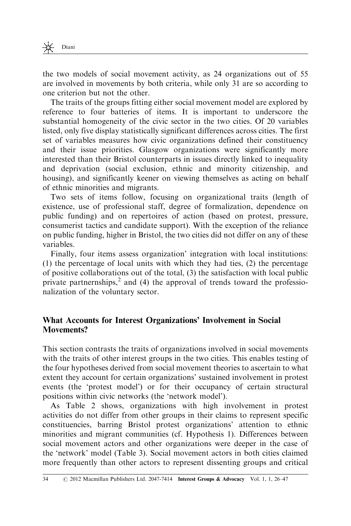the two models of social movement activity, as 24 organizations out of 55 are involved in movements by both criteria, while only 31 are so according to one criterion but not the other.

The traits of the groups fitting either social movement model are explored by reference to four batteries of items. It is important to underscore the substantial homogeneity of the civic sector in the two cities. Of 20 variables listed, only five display statistically significant differences across cities. The first set of variables measures how civic organizations defined their constituency and their issue priorities. Glasgow organizations were significantly more interested than their Bristol counterparts in issues directly linked to inequality and deprivation (social exclusion, ethnic and minority citizenship, and housing), and significantly keener on viewing themselves as acting on behalf of ethnic minorities and migrants.

Two sets of items follow, focusing on organizational traits (length of existence, use of professional staff, degree of formalization, dependence on public funding) and on repertoires of action (based on protest, pressure, consumerist tactics and candidate support). With the exception of the reliance on public funding, higher in Bristol, the two cities did not differ on any of these variables.

Finally, four items assess organization' integration with local institutions: (1) the percentage of local units with which they had ties, (2) the percentage of positive collaborations out of the total, (3) the satisfaction with local public private partnernships,<sup>2</sup> and (4) the approval of trends toward the professionalization of the voluntary sector.

## What Accounts for Interest Organizations' Involvement in Social Movements?

This section contrasts the traits of organizations involved in social movements with the traits of other interest groups in the two cities. This enables testing of the four hypotheses derived from social movement theories to ascertain to what extent they account for certain organizations' sustained involvement in protest events (the 'protest model') or for their occupancy of certain structural positions within civic networks (the 'network model').

As Table 2 shows, organizations with high involvement in protest activities do not differ from other groups in their claims to represent specific constituencies, barring Bristol protest organizations' attention to ethnic minorities and migrant communities (cf. Hypothesis 1). Differences between social movement actors and other organizations were deeper in the case of the 'network' model (Table 3). Social movement actors in both cities claimed more frequently than other actors to represent dissenting groups and critical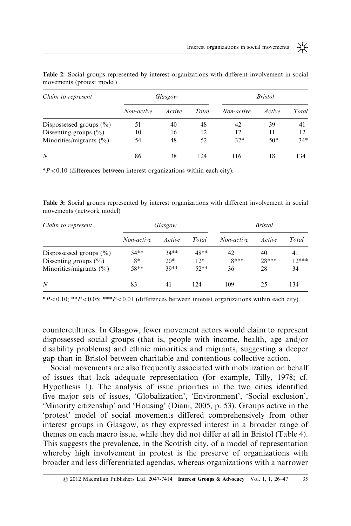| Claim to represent          |            | Glasgow |       |            | <b>Bristol</b> |       |  |  |
|-----------------------------|------------|---------|-------|------------|----------------|-------|--|--|
|                             | Non-active | Active  | Total | Non-active | Active         | Total |  |  |
| Dispossessed groups $(\% )$ | 51         | 40      | 48    | 42         | 39             | 41    |  |  |
| Dissenting groups $(\% )$   | 10         | 16      | 12    | 12         | 11             | 12.   |  |  |
| Minorities/migrants $(\% )$ | 54         | 48      | 52    | $32*$      | $50*$          | $34*$ |  |  |
| N                           | 86         | 38      | 124   | 116        | 18             | 134   |  |  |

Table 2: Social groups represented by interest organizations with different involvement in social movements (protest model)

 $*P<0.10$  (differences between interest organizations within each city).

Table 3: Social groups represented by interest organizations with different involvement in social movements (network model)

| Claim to represent          |            | Glasgow |        |            | <b>Bristol</b> | Total<br>Active |  |  |
|-----------------------------|------------|---------|--------|------------|----------------|-----------------|--|--|
|                             | Non-active | Active  | Total  | Non-active |                |                 |  |  |
| Dispossessed groups $(\% )$ | 54**       | $34**$  | 48**   | 42         | 40             | 41              |  |  |
| Dissenting groups $(\% )$   | 8*         | $20*$   | $12*$  | $8***$     | $28***$        | $12***$         |  |  |
| Minorities/migrants $(\% )$ | 58**       | $30**$  | $52**$ | 36         | 28             | 34              |  |  |
| N                           | 83         | 41      | 124    | 109        | 25             | 134             |  |  |

 $*P<0.10$ ;  $**P<0.05$ ;  $**P<0.01$  (differences between interest organizations within each city).

countercultures. In Glasgow, fewer movement actors would claim to represent dispossessed social groups (that is, people with income, health, age and/or disability problems) and ethnic minorities and migrants, suggesting a deeper gap than in Bristol between charitable and contentious collective action.

Social movements are also frequently associated with mobilization on behalf of issues that lack adequate representation (for example, Tilly, 1978; cf. Hypothesis 1). The analysis of issue priorities in the two cities identified five major sets of issues, 'Globalization', 'Environment', 'Social exclusion', 'Minority citizenship' and 'Housing' (Diani, 2005, p. 53). Groups active in the 'protest' model of social movements differed comprehensively from other interest groups in Glasgow, as they expressed interest in a broader range of themes on each macro issue, while they did not differ at all in Bristol (Table 4). This suggests the prevalence, in the Scottish city, of a model of representation whereby high involvement in protest is the preserve of organizations with broader and less differentiated agendas, whereas organizations with a narrower

₩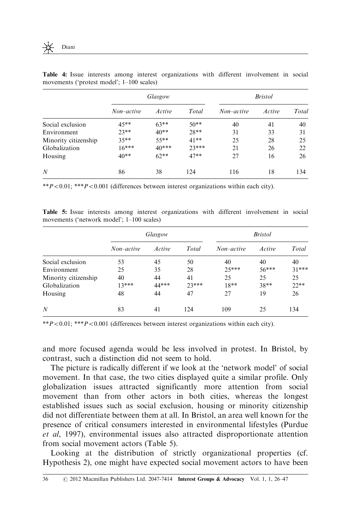|                      | Glasgow    |               |         | <b>Bristol</b> |        |       |
|----------------------|------------|---------------|---------|----------------|--------|-------|
|                      | Non–active | <i>Active</i> | Total   | Non–active     | Active | Total |
| Social exclusion     | $45**$     | $63**$        | $50**$  | 40             | 41     | 40    |
| Environment          | $23**$     | $40**$        | $28**$  | 31             | 33     | 31    |
| Minority citizenship | $35**$     | $55**$        | $41**$  | 25             | 28     | 25    |
| Globalization        | $16***$    | $40***$       | $73***$ | 21             | 26     | 22    |
| Housing              | $40**$     | $62**$        | $47**$  | 27             | 16     | 26    |
| N                    | 86         | 38            | 124     | 116            | 18     | 134   |

Table 4: Issue interests among interest organizations with different involvement in social movements ('protest model'; 1–100 scales)

\*\* $P < 0.01$ ; \*\*\* $P < 0.001$  (differences between interest organizations within each city).

Table 5: Issue interests among interest organizations with different involvement in social movements ('network model'; 1–100 scales)

|                      | Glasgow    |        |         | <b>Bristol</b> |         |         |
|----------------------|------------|--------|---------|----------------|---------|---------|
|                      | Non–active | Active | Total   | Non–active     | Active  | Total   |
| Social exclusion     | 53         | 45     | 50      | 40             | 40      | 40      |
| Environment          | 25         | 35     | 28      | $25***$        | $56***$ | $31***$ |
| Minority citizenship | 40         | 44     | 41      | 25             | 25      | 25      |
| Globalization        | $13***$    | 44***  | $23***$ | $18**$         | $38**$  | $22**$  |
| Housing              | 48         | 44     | 47      | 27             | 19      | 26      |
| N                    | 83         | 41     | 124     | 109            | 25      | 134     |

\*\* $P < 0.01$ ; \*\*\* $P < 0.001$  (differences between interest organizations within each city).

and more focused agenda would be less involved in protest. In Bristol, by contrast, such a distinction did not seem to hold.

The picture is radically different if we look at the 'network model' of social movement. In that case, the two cities displayed quite a similar profile. Only globalization issues attracted significantly more attention from social movement than from other actors in both cities, whereas the longest established issues such as social exclusion, housing or minority citizenship did not differentiate between them at all. In Bristol, an area well known for the presence of critical consumers interested in environmental lifestyles (Purdue et al, 1997), environmental issues also attracted disproportionate attention from social movement actors (Table 5).

Looking at the distribution of strictly organizational properties (cf. Hypothesis 2), one might have expected social movement actors to have been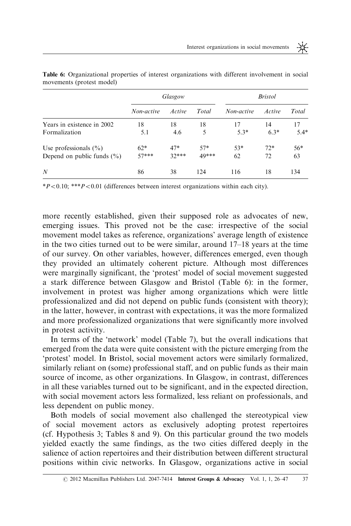|                                | Glasgow    |         |       | <b>Bristol</b> |        |        |  |
|--------------------------------|------------|---------|-------|----------------|--------|--------|--|
|                                | Non-active | Active  | Total | Non-active     | Active | Total  |  |
| Years in existence in 2002     | 18         | 18      | 18    | 17             | 14     | 17     |  |
| Formalization                  | 5.1        | 4.6     | 5     | $5.3*$         | $6.3*$ | $5.4*$ |  |
| Use professionals $(\% )$      | $62*$      | $47*$   | $57*$ | $53*$          | $72*$  | 56*    |  |
| Depend on public funds $(\% )$ | $57***$    | $32***$ | 49*** | 62             | 72     | 63     |  |
| N                              | 86         | 38      | 124   | 116            | 18     | 134    |  |

Table 6: Organizational properties of interest organizations with different involvement in social movements (protest model)

 $*P<0.10$ ;  $***P<0.01$  (differences between interest organizations within each city).

more recently established, given their supposed role as advocates of new, emerging issues. This proved not be the case: irrespective of the social movement model takes as reference, organizations' average length of existence in the two cities turned out to be were similar, around 17–18 years at the time of our survey. On other variables, however, differences emerged, even though they provided an ultimately coherent picture. Although most differences were marginally significant, the 'protest' model of social movement suggested a stark difference between Glasgow and Bristol (Table 6): in the former, involvement in protest was higher among organizations which were little professionalized and did not depend on public funds (consistent with theory); in the latter, however, in contrast with expectations, it was the more formalized and more professionalized organizations that were significantly more involved in protest activity.

In terms of the 'network' model (Table 7), but the overall indications that emerged from the data were quite consistent with the picture emerging from the 'protest' model. In Bristol, social movement actors were similarly formalized, similarly reliant on (some) professional staff, and on public funds as their main source of income, as other organizations. In Glasgow, in contrast, differences in all these variables turned out to be significant, and in the expected direction, with social movement actors less formalized, less reliant on professionals, and less dependent on public money.

Both models of social movement also challenged the stereotypical view of social movement actors as exclusively adopting protest repertoires (cf. Hypothesis 3; Tables 8 and 9). On this particular ground the two models yielded exactly the same findings, as the two cities differed deeply in the salience of action repertoires and their distribution between different structural positions within civic networks. In Glasgow, organizations active in social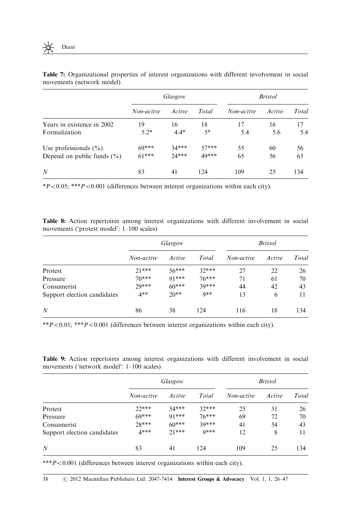|                                | Glasgow    |               |         | <b>Bristol</b> |        |       |  |
|--------------------------------|------------|---------------|---------|----------------|--------|-------|--|
|                                | Non-active | <i>Active</i> | Total   | Non-active     | Active | Total |  |
| Years in existence in 2002     | 19         | 16            | 18      | 17             | 16     | 17    |  |
| Formalization                  | $5.2*$     | $4.4*$        | $5*$    | 5.4            | 5.6    | 5.4   |  |
| Use professionals $(\% )$      | $69***$    | $34***$       | $57***$ | 55             | 60     | 56    |  |
| Depend on public funds $(\% )$ | $61***$    | $24***$       | 49***   | 65             | 56     | 63    |  |
| N                              | 83         | 41            | 124     | 109            | 25     | 134   |  |

Table 7: Organizational properties of interest organizations with different involvement in social movements (network model)

 $*P<0.05$ ;  $***P<0.001$  (differences between interest organizations within each city).

Table 8: Action repertoires among interest organizations with different involvement in social movements ('protest model': 1–100 scales)

|                             | Glasgow    |               |         | <b>Bristol</b> |        |       |  |
|-----------------------------|------------|---------------|---------|----------------|--------|-------|--|
|                             | Non-active | <i>Active</i> | Total   | Non-active     | Active | Total |  |
| Protest                     | $71***$    | $56***$       | $32***$ | 27             | 22     | 26    |  |
| Pressure                    | $70***$    | $91***$       | $76***$ | 71             | 61     | 70    |  |
| Consumerist                 | $29***$    | $60***$       | $30***$ | 44             | 42     | 43    |  |
| Support election candidates | $4**$      | $20**$        | $9**$   | 13             | 6      | 11    |  |
| N                           | 86         | 38            | 124     | 116            | 18     | 134   |  |

\*\* $P < 0.01$ ; \*\*\* $P < 0.001$  (differences between interest organizations within each city).

Table 9: Action repertoires among interest organizations with different involvement in social movements ('network model': 1–100 scales)

|                             | Glasgow    |               |         | <b>Bristol</b> |        |       |
|-----------------------------|------------|---------------|---------|----------------|--------|-------|
|                             | Non-active | <i>Active</i> | Total   | Non-active     | Active | Total |
| Protest                     | $22***$    | $54***$       | $32***$ | 25             | 31     | 26    |
| Pressure                    | $69***$    | $91***$       | $76***$ | 69             | 72     | 70    |
| Consumerist                 | $28***$    | $60***$       | $30***$ | 41             | 54     | 43    |
| Support election candidates | $4***$     | $21***$       | $0***$  | 12             | 8      | 11    |
| N                           | 83         | 41            | 124     | 109            | 25     | 134   |

\*\*\* $P < 0.001$  (differences between interest organizations within each city).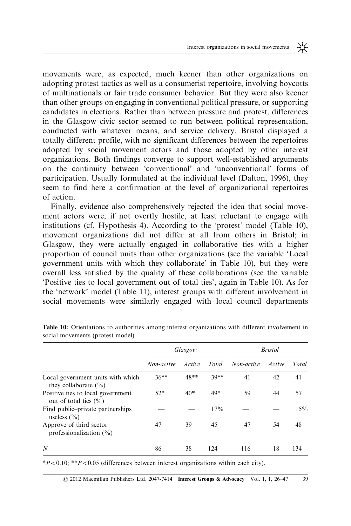movements were, as expected, much keener than other organizations on adopting protest tactics as well as a consumerist repertoire, involving boycotts of multinationals or fair trade consumer behavior. But they were also keener than other groups on engaging in conventional political pressure, or supporting candidates in elections. Rather than between pressure and protest, differences in the Glasgow civic sector seemed to run between political representation, conducted with whatever means, and service delivery. Bristol displayed a totally different profile, with no significant differences between the repertoires adopted by social movement actors and those adopted by other interest organizations. Both findings converge to support well-established arguments on the continuity between 'conventional' and 'unconventional' forms of participation. Usually formulated at the individual level (Dalton, 1996), they seem to find here a confirmation at the level of organizational repertoires of action.

Finally, evidence also comprehensively rejected the idea that social movement actors were, if not overtly hostile, at least reluctant to engage with institutions (cf. Hypothesis 4). According to the 'protest' model (Table 10), movement organizations did not differ at all from others in Bristol; in Glasgow, they were actually engaged in collaborative ties with a higher proportion of council units than other organizations (see the variable 'Local government units with which they collaborate' in Table 10), but they were overall less satisfied by the quality of these collaborations (see the variable 'Positive ties to local government out of total ties', again in Table 10). As for the 'network' model (Table 11), interest groups with different involvement in social movements were similarly engaged with local council departments

|                                                                | Glasgow    |        |        | <b>Bristol</b> |        |       |
|----------------------------------------------------------------|------------|--------|--------|----------------|--------|-------|
|                                                                | Non-active | Active | Total  | Non-active     | Active | Total |
| Local government units with which<br>they collaborate $(\% )$  | $36**$     | 48**   | $30**$ | 41             | 42     | 41    |
| Positive ties to local government<br>out of total ties $(\% )$ | $52*$      | $40*$  | 49*    | 59             | 44     | 57    |
| Find public-private partnerships<br>useless $(\% )$            |            |        | 17%    |                |        | 15%   |
| Approve of third sector<br>professionalization $(\%)$          | 47         | 39     | 45     | 47             | 54     | 48    |
| N                                                              | 86         | 38     | 124    | 116            | 18     | 134   |

Table 10: Orientations to authorities among interest organizations with different involvement in social movements (protest model)

 $*P<0.10$ ;  $*P<0.05$  (differences between interest organizations within each city).

米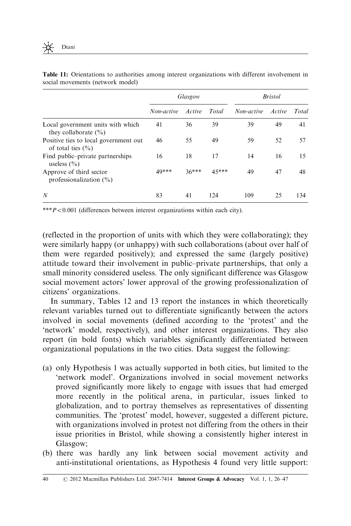|                                                                | Glasgow    |         |         | <b>Bristol</b> |        |       |
|----------------------------------------------------------------|------------|---------|---------|----------------|--------|-------|
|                                                                | Non-active | Active  | Total   | Non-active     | Active | Total |
| Local government units with which<br>they collaborate $(\% )$  | 41         | 36      | 39      | 39             | 49     | 41    |
| Positive ties to local government out<br>of total ties $(\% )$ | 46         | 55      | 49      | 59             | 52     | 57    |
| Find public-private partnerships<br>useless $(\% )$            | 16         | 18      | 17      | 14             | 16     | 15    |
| Approve of third sector<br>professionalization $(\%)$          | 49***      | $36***$ | $45***$ | 49             | 47     | 48    |
| N                                                              | 83         | 41      | 124     | 109            | 25     | 134   |

Table 11: Orientations to authorities among interest organizations with different involvement in social movements (network model)

\*\*\* $P < 0.001$  (differences between interest organizations within each city).

(reflected in the proportion of units with which they were collaborating); they were similarly happy (or unhappy) with such collaborations (about over half of them were regarded positively); and expressed the same (largely positive) attitude toward their involvement in public–private partnerships, that only a small minority considered useless. The only significant difference was Glasgow social movement actors' lower approval of the growing professionalization of citizens' organizations.

In summary, Tables 12 and 13 report the instances in which theoretically relevant variables turned out to differentiate significantly between the actors involved in social movements (defined according to the 'protest' and the 'network' model, respectively), and other interest organizations. They also report (in bold fonts) which variables significantly differentiated between organizational populations in the two cities. Data suggest the following:

- (a) only Hypothesis 1 was actually supported in both cities, but limited to the 'network model'. Organizations involved in social movement networks proved significantly more likely to engage with issues that had emerged more recently in the political arena, in particular, issues linked to globalization, and to portray themselves as representatives of dissenting communities. The 'protest' model, however, suggested a different picture, with organizations involved in protest not differing from the others in their issue priorities in Bristol, while showing a consistently higher interest in Glasgow;
- (b) there was hardly any link between social movement activity and anti-institutional orientations, as Hypothesis 4 found very little support: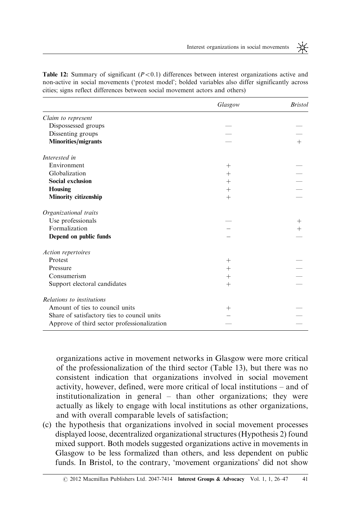米

|                                             | Glasgow | <b>Bristol</b> |
|---------------------------------------------|---------|----------------|
| Claim to represent                          |         |                |
| Dispossessed groups                         |         |                |
| Dissenting groups                           |         |                |
| Minorities/migrants                         |         | $+$            |
| Interested in                               |         |                |
| Environment                                 | $^{+}$  |                |
| Globalization                               | $+$     |                |
| <b>Social exclusion</b>                     | $+$     |                |
| <b>Housing</b>                              | $^{+}$  |                |
| <b>Minority citizenship</b>                 | $+$     |                |
| Organizational traits                       |         |                |
| Use professionals                           |         | $^{+}$         |
| Formalization                               |         | $+$            |
| Depend on public funds                      |         |                |
| Action repertoires                          |         |                |
| Protest                                     | $^{+}$  |                |
| Pressure                                    | $^{+}$  |                |
| Consumerism                                 | $^{+}$  |                |
| Support electoral candidates                | $^{+}$  |                |
| Relations to institutions                   |         |                |
| Amount of ties to council units             | $^{+}$  |                |
| Share of satisfactory ties to council units |         |                |
| Approve of third sector professionalization |         |                |

**Table 12:** Summary of significant  $(P<0.1)$  differences between interest organizations active and non-active in social movements ('protest model'; bolded variables also differ significantly across cities; signs reflect differences between social movement actors and others)

organizations active in movement networks in Glasgow were more critical of the professionalization of the third sector (Table 13), but there was no consistent indication that organizations involved in social movement activity, however, defined, were more critical of local institutions – and of institutionalization in general – than other organizations; they were actually as likely to engage with local institutions as other organizations, and with overall comparable levels of satisfaction;

(c) the hypothesis that organizations involved in social movement processes displayed loose, decentralized organizational structures (Hypothesis 2) found mixed support. Both models suggested organizations active in movements in Glasgow to be less formalized than others, and less dependent on public funds. In Bristol, to the contrary, 'movement organizations' did not show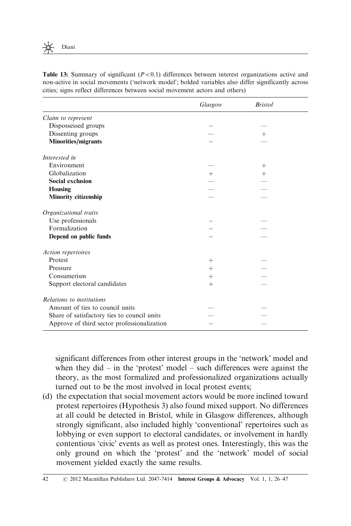

|                                             | Glasgow | <b>Bristol</b> |  |
|---------------------------------------------|---------|----------------|--|
| Claim to represent                          |         |                |  |
| Dispossessed groups                         |         |                |  |
| Dissenting groups                           |         | $+$            |  |
| Minorities/migrants                         |         |                |  |
| Interested in                               |         |                |  |
| Environment                                 |         | $^{+}$         |  |
| Globalization                               | $+$     | $+$            |  |
| <b>Social exclusion</b>                     |         |                |  |
| Housing                                     |         |                |  |
| <b>Minority citizenship</b>                 |         |                |  |
| Organizational traits                       |         |                |  |
| Use professionals                           |         |                |  |
| Formalization                               |         |                |  |
| Depend on public funds                      |         |                |  |
| Action repertoires                          |         |                |  |
| Protest                                     | $^{+}$  |                |  |
| Pressure                                    | $+$     |                |  |
| Consumerism                                 | $^{+}$  |                |  |
| Support electoral candidates                | $+$     |                |  |
| Relations to institutions                   |         |                |  |
| Amount of ties to council units             |         |                |  |
| Share of satisfactory ties to council units |         |                |  |
| Approve of third sector professionalization |         |                |  |

**Table 13:** Summary of significant  $(P<0.1)$  differences between interest organizations active and non-active in social movements ('network model'; bolded variables also differ significantly across cities; signs reflect differences between social movement actors and others)

significant differences from other interest groups in the 'network' model and when they did – in the 'protest' model – such differences were against the theory, as the most formalized and professionalized organizations actually turned out to be the most involved in local protest events;

(d) the expectation that social movement actors would be more inclined toward protest repertoires (Hypothesis 3) also found mixed support. No differences at all could be detected in Bristol, while in Glasgow differences, although strongly significant, also included highly 'conventional' repertoires such as lobbying or even support to electoral candidates, or involvement in hardly contentious 'civic' events as well as protest ones. Interestingly, this was the only ground on which the 'protest' and the 'network' model of social movement yielded exactly the same results.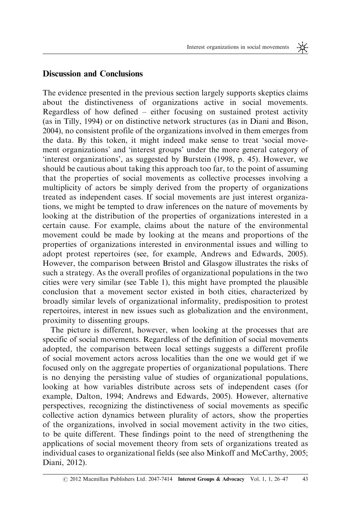米

#### Discussion and Conclusions

The evidence presented in the previous section largely supports skeptics claims about the distinctiveness of organizations active in social movements. Regardless of how defined – either focusing on sustained protest activity (as in Tilly, 1994) or on distinctive network structures (as in Diani and Bison, 2004), no consistent profile of the organizations involved in them emerges from the data. By this token, it might indeed make sense to treat 'social movement organizations' and 'interest groups' under the more general category of 'interest organizations', as suggested by Burstein (1998, p. 45). However, we should be cautious about taking this approach too far, to the point of assuming that the properties of social movements as collective processes involving a multiplicity of actors be simply derived from the property of organizations treated as independent cases. If social movements are just interest organizations, we might be tempted to draw inferences on the nature of movements by looking at the distribution of the properties of organizations interested in a certain cause. For example, claims about the nature of the environmental movement could be made by looking at the means and proportions of the properties of organizations interested in environmental issues and willing to adopt protest repertoires (see, for example, Andrews and Edwards, 2005). However, the comparison between Bristol and Glasgow illustrates the risks of such a strategy. As the overall profiles of organizational populations in the two cities were very similar (see Table 1), this might have prompted the plausible conclusion that a movement sector existed in both cities, characterized by broadly similar levels of organizational informality, predisposition to protest repertoires, interest in new issues such as globalization and the environment, proximity to dissenting groups.

The picture is different, however, when looking at the processes that are specific of social movements. Regardless of the definition of social movements adopted, the comparison between local settings suggests a different profile of social movement actors across localities than the one we would get if we focused only on the aggregate properties of organizational populations. There is no denying the persisting value of studies of organizational populations, looking at how variables distribute across sets of independent cases (for example, Dalton, 1994; Andrews and Edwards, 2005). However, alternative perspectives, recognizing the distinctiveness of social movements as specific collective action dynamics between plurality of actors, show the properties of the organizations, involved in social movement activity in the two cities, to be quite different. These findings point to the need of strengthening the applications of social movement theory from sets of organizations treated as individual cases to organizational fields (see also Minkoff and McCarthy, 2005; Diani, 2012).

r 2012 Macmillan Publishers Ltd. 2047-7414 Interest Groups & Advocacy Vol. 1, 1, 26–47 43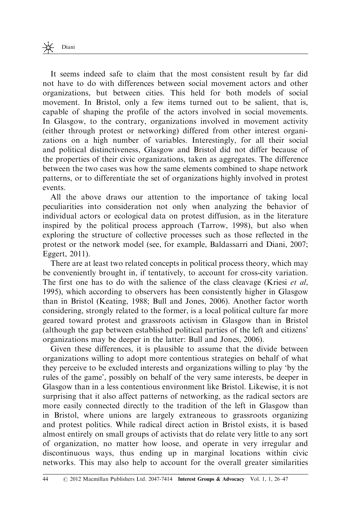It seems indeed safe to claim that the most consistent result by far did not have to do with differences between social movement actors and other organizations, but between cities. This held for both models of social movement. In Bristol, only a few items turned out to be salient, that is, capable of shaping the profile of the actors involved in social movements. In Glasgow, to the contrary, organizations involved in movement activity (either through protest or networking) differed from other interest organizations on a high number of variables. Interestingly, for all their social and political distinctiveness, Glasgow and Bristol did not differ because of the properties of their civic organizations, taken as aggregates. The difference between the two cases was how the same elements combined to shape network patterns, or to differentiate the set of organizations highly involved in protest events.

All the above draws our attention to the importance of taking local peculiarities into consideration not only when analyzing the behavior of individual actors or ecological data on protest diffusion, as in the literature inspired by the political process approach (Tarrow, 1998), but also when exploring the structure of collective processes such as those reflected in the protest or the network model (see, for example, Baldassarri and Diani, 2007; Eggert, 2011).

There are at least two related concepts in political process theory, which may be conveniently brought in, if tentatively, to account for cross-city variation. The first one has to do with the salience of the class cleavage (Kriesi et al, 1995), which according to observers has been consistently higher in Glasgow than in Bristol (Keating, 1988; Bull and Jones, 2006). Another factor worth considering, strongly related to the former, is a local political culture far more geared toward protest and grassroots activism in Glasgow than in Bristol (although the gap between established political parties of the left and citizens' organizations may be deeper in the latter: Bull and Jones, 2006).

Given these differences, it is plausible to assume that the divide between organizations willing to adopt more contentious strategies on behalf of what they perceive to be excluded interests and organizations willing to play 'by the rules of the game', possibly on behalf of the very same interests, be deeper in Glasgow than in a less contentious environment like Bristol. Likewise, it is not surprising that it also affect patterns of networking, as the radical sectors are more easily connected directly to the tradition of the left in Glasgow than in Bristol, where unions are largely extraneous to grassroots organizing and protest politics. While radical direct action in Bristol exists, it is based almost entirely on small groups of activists that do relate very little to any sort of organization, no matter how loose, and operate in very irregular and discontinuous ways, thus ending up in marginal locations within civic networks. This may also help to account for the overall greater similarities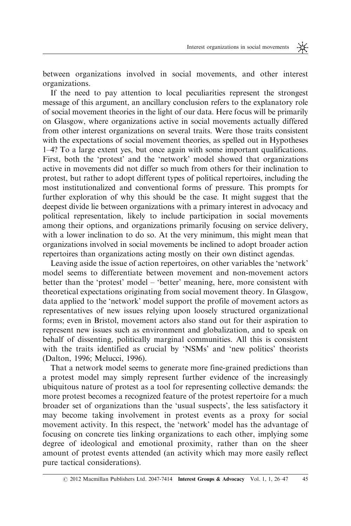between organizations involved in social movements, and other interest organizations.

If the need to pay attention to local peculiarities represent the strongest message of this argument, an ancillary conclusion refers to the explanatory role of social movement theories in the light of our data. Here focus will be primarily on Glasgow, where organizations active in social movements actually differed from other interest organizations on several traits. Were those traits consistent with the expectations of social movement theories, as spelled out in Hypotheses 1–4? To a large extent yes, but once again with some important qualifications. First, both the 'protest' and the 'network' model showed that organizations active in movements did not differ so much from others for their inclination to protest, but rather to adopt different types of political repertoires, including the most institutionalized and conventional forms of pressure. This prompts for further exploration of why this should be the case. It might suggest that the deepest divide lie between organizations with a primary interest in advocacy and political representation, likely to include participation in social movements among their options, and organizations primarily focusing on service delivery, with a lower inclination to do so. At the very minimum, this might mean that organizations involved in social movements be inclined to adopt broader action repertoires than organizations acting mostly on their own distinct agendas.

Leaving aside the issue of action repertoires, on other variables the 'network' model seems to differentiate between movement and non-movement actors better than the 'protest' model – 'better' meaning, here, more consistent with theoretical expectations originating from social movement theory. In Glasgow, data applied to the 'network' model support the profile of movement actors as representatives of new issues relying upon loosely structured organizational forms; even in Bristol, movement actors also stand out for their aspiration to represent new issues such as environment and globalization, and to speak on behalf of dissenting, politically marginal communities. All this is consistent with the traits identified as crucial by 'NSMs' and 'new politics' theorists (Dalton, 1996; Melucci, 1996).

That a network model seems to generate more fine-grained predictions than a protest model may simply represent further evidence of the increasingly ubiquitous nature of protest as a tool for representing collective demands: the more protest becomes a recognized feature of the protest repertoire for a much broader set of organizations than the 'usual suspects', the less satisfactory it may become taking involvement in protest events as a proxy for social movement activity. In this respect, the 'network' model has the advantage of focusing on concrete ties linking organizations to each other, implying some degree of ideological and emotional proximity, rather than on the sheer amount of protest events attended (an activity which may more easily reflect pure tactical considerations).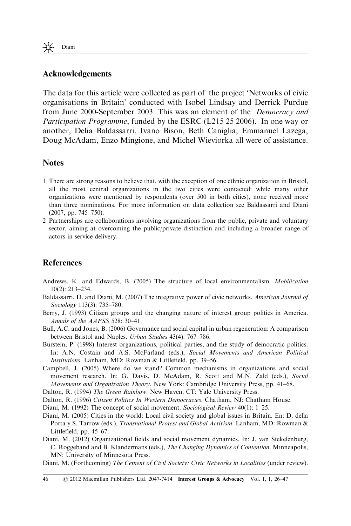

#### Acknowledgements

The data for this article were collected as part of the project 'Networks of civic organisations in Britain' conducted with Isobel Lindsay and Derrick Purdue from June 2000-September 2003. This was an element of the Democracy and Participation Programme, funded by the ESRC (L215 25 2006). In one way or another, Delia Baldassarri, Ivano Bison, Beth Caniglia, Emmanuel Lazega, Doug McAdam, Enzo Mingione, and Michel Wieviorka all were of assistance.

#### **Notes**

- 1 There are strong reasons to believe that, with the exception of one ethnic organization in Bristol, all the most central organizations in the two cities were contacted: while many other organizations were mentioned by respondents (over 500 in both cities), none received more than three nominations. For more information on data collection see Baldassarri and Diani (2007, pp. 745–750).
- 2 Partnerships are collaborations involving organizations from the public, private and voluntary sector, aiming at overcoming the public/private distinction and including a broader range of actors in service delivery.

# **References**

- Andrews, K. and Edwards, B. (2005) The structure of local environmentalism. Mobilization 10(2): 213–234.
- Baldassarri, D. and Diani, M. (2007) The integrative power of civic networks. American Journal of Sociology 113(3): 735–780.
- Berry, J. (1993) Citizen groups and the changing nature of interest group politics in America. Annals of the AAPSS 528: 30–41.
- Bull, A.C. and Jones, B. (2006) Governance and social capital in urban regeneration: A comparison between Bristol and Naples. Urban Studies 43(4): 767–786.
- Burstein, P. (1998) Interest organizations, political parties, and the study of democratic politics. In: A.N. Costain and A.S. McFarland (eds.), Social Movements and American Political Institutions. Lanham, MD: Rowman & Littlefield, pp. 39–56.
- Campbell, J. (2005) Where do we stand? Common mechanisms in organizations and social movement research. In: G. Davis, D. McAdam, R. Scott and M.N. Zald (eds.), Social Movements and Organization Theory. New York: Cambridge University Press, pp. 41–68.

Dalton, R. (1994) The Green Rainbow. New Haven, CT: Yale University Press.

- Dalton, R. (1996) Citizen Politics In Western Democracies. Chatham, NJ: Chatham House.
- Diani, M. (1992) The concept of social movement. Sociological Review 40(1): 1–25.
- Diani, M. (2005) Cities in the world: Local civil society and global issues in Britain. En: D. della Porta y S. Tarrow (eds.), Transnational Protest and Global Activism. Lanham, MD: Rowman & Littlefield, pp. 45–67.
- Diani, M. (2012) Organizational fields and social movement dynamics. In: J. van Stekelenburg, C. Roggeband and B. Klandermans (eds.), The Changing Dynamics of Contention. Minneapolis, MN: University of Minnesota Press.
- Diani, M. (Forthcoming) The Cement of Civil Society: Civic Networks in Localities (under review).